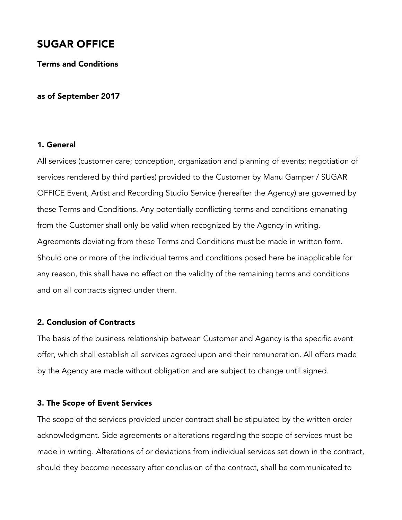# SUGAR OFFICE

Terms and Conditions

#### as of September 2017

## 1. General

All services (customer care; conception, organization and planning of events; negotiation of services rendered by third parties) provided to the Customer by Manu Gamper / SUGAR OFFICE Event, Artist and Recording Studio Service (hereafter the Agency) are governed by these Terms and Conditions. Any potentially conflicting terms and conditions emanating from the Customer shall only be valid when recognized by the Agency in writing. Agreements deviating from these Terms and Conditions must be made in written form. Should one or more of the individual terms and conditions posed here be inapplicable for any reason, this shall have no effect on the validity of the remaining terms and conditions and on all contracts signed under them.

# 2. Conclusion of Contracts

The basis of the business relationship between Customer and Agency is the specific event offer, which shall establish all services agreed upon and their remuneration. All offers made by the Agency are made without obligation and are subject to change until signed.

#### 3. The Scope of Event Services

The scope of the services provided under contract shall be stipulated by the written order acknowledgment. Side agreements or alterations regarding the scope of services must be made in writing. Alterations of or deviations from individual services set down in the contract, should they become necessary after conclusion of the contract, shall be communicated to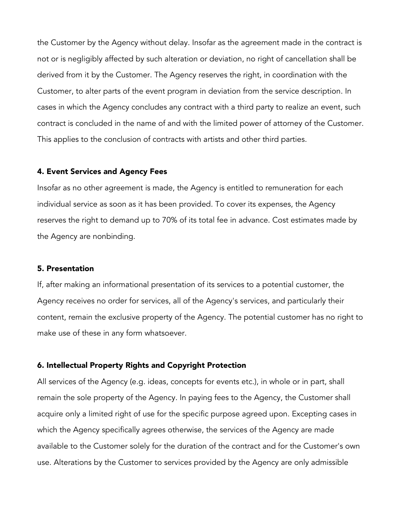the Customer by the Agency without delay. Insofar as the agreement made in the contract is not or is negligibly affected by such alteration or deviation, no right of cancellation shall be derived from it by the Customer. The Agency reserves the right, in coordination with the Customer, to alter parts of the event program in deviation from the service description. In cases in which the Agency concludes any contract with a third party to realize an event, such contract is concluded in the name of and with the limited power of attorney of the Customer. This applies to the conclusion of contracts with artists and other third parties.

#### 4. Event Services and Agency Fees

Insofar as no other agreement is made, the Agency is entitled to remuneration for each individual service as soon as it has been provided. To cover its expenses, the Agency reserves the right to demand up to 70% of its total fee in advance. Cost estimates made by the Agency are nonbinding.

## 5. Presentation

If, after making an informational presentation of its services to a potential customer, the Agency receives no order for services, all of the Agency's services, and particularly their content, remain the exclusive property of the Agency. The potential customer has no right to make use of these in any form whatsoever.

#### 6. Intellectual Property Rights and Copyright Protection

All services of the Agency (e.g. ideas, concepts for events etc.), in whole or in part, shall remain the sole property of the Agency. In paying fees to the Agency, the Customer shall acquire only a limited right of use for the specific purpose agreed upon. Excepting cases in which the Agency specifically agrees otherwise, the services of the Agency are made available to the Customer solely for the duration of the contract and for the Customer's own use. Alterations by the Customer to services provided by the Agency are only admissible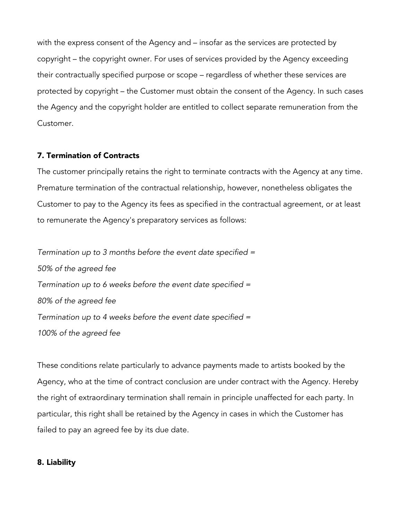with the express consent of the Agency and – insofar as the services are protected by copyright – the copyright owner. For uses of services provided by the Agency exceeding their contractually specified purpose or scope – regardless of whether these services are protected by copyright – the Customer must obtain the consent of the Agency. In such cases the Agency and the copyright holder are entitled to collect separate remuneration from the Customer.

## 7. Termination of Contracts

The customer principally retains the right to terminate contracts with the Agency at any time. Premature termination of the contractual relationship, however, nonetheless obligates the Customer to pay to the Agency its fees as specified in the contractual agreement, or at least to remunerate the Agency's preparatory services as follows:

*Termination up to 3 months before the event date specified = 50% of the agreed fee Termination up to 6 weeks before the event date specified = 80% of the agreed fee Termination up to 4 weeks before the event date specified = 100% of the agreed fee*

These conditions relate particularly to advance payments made to artists booked by the Agency, who at the time of contract conclusion are under contract with the Agency. Hereby the right of extraordinary termination shall remain in principle unaffected for each party. In particular, this right shall be retained by the Agency in cases in which the Customer has failed to pay an agreed fee by its due date.

### 8. Liability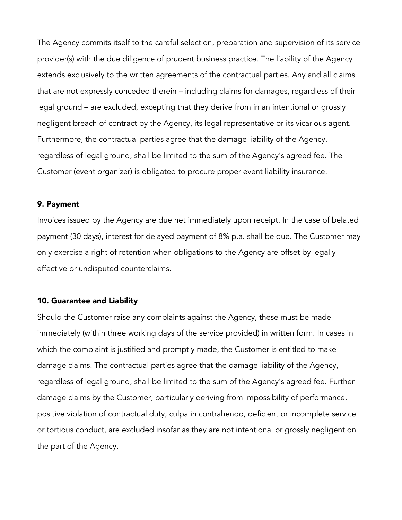The Agency commits itself to the careful selection, preparation and supervision of its service provider(s) with the due diligence of prudent business practice. The liability of the Agency extends exclusively to the written agreements of the contractual parties. Any and all claims that are not expressly conceded therein – including claims for damages, regardless of their legal ground – are excluded, excepting that they derive from in an intentional or grossly negligent breach of contract by the Agency, its legal representative or its vicarious agent. Furthermore, the contractual parties agree that the damage liability of the Agency, regardless of legal ground, shall be limited to the sum of the Agency's agreed fee. The Customer (event organizer) is obligated to procure proper event liability insurance.

## 9. Payment

Invoices issued by the Agency are due net immediately upon receipt. In the case of belated payment (30 days), interest for delayed payment of 8% p.a. shall be due. The Customer may only exercise a right of retention when obligations to the Agency are offset by legally effective or undisputed counterclaims.

## 10. Guarantee and Liability

Should the Customer raise any complaints against the Agency, these must be made immediately (within three working days of the service provided) in written form. In cases in which the complaint is justified and promptly made, the Customer is entitled to make damage claims. The contractual parties agree that the damage liability of the Agency, regardless of legal ground, shall be limited to the sum of the Agency's agreed fee. Further damage claims by the Customer, particularly deriving from impossibility of performance, positive violation of contractual duty, culpa in contrahendo, deficient or incomplete service or tortious conduct, are excluded insofar as they are not intentional or grossly negligent on the part of the Agency.